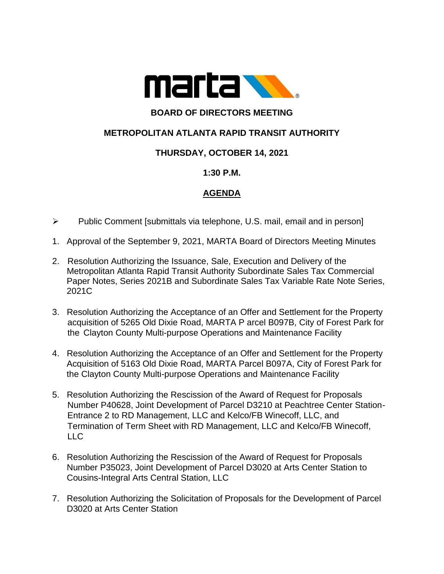

# **BOARD OF DIRECTORS MEETING**

## **METROPOLITAN ATLANTA RAPID TRANSIT AUTHORITY**

### **THURSDAY, OCTOBER 14, 2021**

#### **1:30 P.M.**

### **AGENDA**

- ➢ Public Comment [submittals via telephone, U.S. mail, email and in person]
- 1. Approval of the September 9, 2021, MARTA Board of Directors Meeting Minutes
- 2. Resolution Authorizing the Issuance, Sale, Execution and Delivery of the Metropolitan Atlanta Rapid Transit Authority Subordinate Sales Tax Commercial Paper Notes, Series 2021B and Subordinate Sales Tax Variable Rate Note Series, 2021C
- 3. Resolution Authorizing the Acceptance of an Offer and Settlement for the Property acquisition of 5265 Old Dixie Road, MARTA P arcel B097B, City of Forest Park for the Clayton County Multi-purpose Operations and Maintenance Facility
- 4. Resolution Authorizing the Acceptance of an Offer and Settlement for the Property Acquisition of 5163 Old Dixie Road, MARTA Parcel B097A, City of Forest Park for the Clayton County Multi-purpose Operations and Maintenance Facility
- 5. Resolution Authorizing the Rescission of the Award of Request for Proposals Number P40628, Joint Development of Parcel D3210 at Peachtree Center Station- Entrance 2 to RD Management, LLC and Kelco/FB Winecoff, LLC, and Termination of Term Sheet with RD Management, LLC and Kelco/FB Winecoff,  $ILC$
- 6. Resolution Authorizing the Rescission of the Award of Request for Proposals Number P35023, Joint Development of Parcel D3020 at Arts Center Station to Cousins-Integral Arts Central Station, LLC
- 7. Resolution Authorizing the Solicitation of Proposals for the Development of Parcel D3020 at Arts Center Station